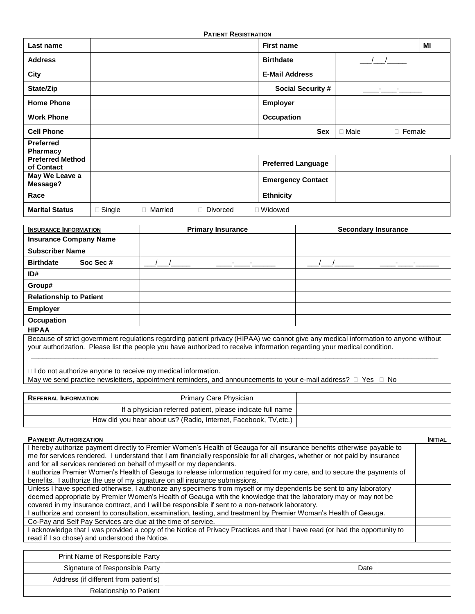| <b>PATIENT REGISTRATION</b>           |               |           |          |                           |                              |    |
|---------------------------------------|---------------|-----------|----------|---------------------------|------------------------------|----|
| Last name                             |               |           |          | <b>First name</b>         |                              | MI |
| <b>Address</b>                        |               |           |          | <b>Birthdate</b>          |                              |    |
| City                                  |               |           |          | <b>E-Mail Address</b>     |                              |    |
| State/Zip                             |               |           |          | <b>Social Security #</b>  | <b>Property</b>              |    |
| <b>Home Phone</b>                     |               |           |          | <b>Employer</b>           |                              |    |
| <b>Work Phone</b>                     |               |           |          | <b>Occupation</b>         |                              |    |
| <b>Cell Phone</b>                     |               |           |          | <b>Sex</b>                | $\Box$ Male<br>$\Box$ Female |    |
| <b>Preferred</b><br>Pharmacy          |               |           |          |                           |                              |    |
| <b>Preferred Method</b><br>of Contact |               |           |          | <b>Preferred Language</b> |                              |    |
| May We Leave a<br>Message?            |               |           |          | <b>Emergency Contact</b>  |                              |    |
| Race                                  |               |           |          | <b>Ethnicity</b>          |                              |    |
| <b>Marital Status</b>                 | $\Box$ Single | □ Married | Divorced | □ Widowed                 |                              |    |

| <b>INSURANCE INFORMATION</b>   | <b>Primary Insurance</b> | <b>Secondary Insurance</b> |  |
|--------------------------------|--------------------------|----------------------------|--|
| <b>Insurance Company Name</b>  |                          |                            |  |
| <b>Subscriber Name</b>         |                          |                            |  |
| <b>Birthdate</b><br>Soc Sec #  |                          |                            |  |
| ID#                            |                          |                            |  |
| Group#                         |                          |                            |  |
| <b>Relationship to Patient</b> |                          |                            |  |
| <b>Employer</b>                |                          |                            |  |
| Occupation                     |                          |                            |  |
| $\sim$ $\sim$ $\sim$ $\sim$    |                          |                            |  |

**HIPAA**

Because of strict government regulations regarding patient privacy (HIPAA) we cannot give any medical information to anyone without your authorization. Please list the people you have authorized to receive information regarding your medical condition. \_\_\_\_\_\_\_\_\_\_\_\_\_\_\_\_\_\_\_\_\_\_\_\_\_\_\_\_\_\_\_\_\_\_\_\_\_\_\_\_\_\_\_\_\_\_\_\_\_\_\_\_\_\_\_\_\_\_\_\_\_\_\_\_\_\_\_\_\_\_\_\_\_\_\_\_\_\_\_\_\_\_\_\_\_\_\_\_\_\_\_\_\_\_\_\_\_\_\_\_\_\_\_\_\_

□ I do not authorize anyone to receive my medical information. May we send practice newsletters, appointment reminders, and announcements to your e-mail address?  $\Box$  Yes  $\Box$  No

| <b>REFERRAL INFORMATION</b> | <b>Primary Care Physician</b>                                    |  |
|-----------------------------|------------------------------------------------------------------|--|
|                             | If a physician referred patient, please indicate full name       |  |
|                             | How did you hear about us? (Radio, Internet, Facebook, TV, etc.) |  |

| <b>PAYMENT AUTHORIZATION</b>                                                                                                | <b>INITIAL</b> |
|-----------------------------------------------------------------------------------------------------------------------------|----------------|
| I hereby authorize payment directly to Premier Women's Health of Geauga for all insurance benefits otherwise payable to     |                |
| me for services rendered. I understand that I am financially responsible for all charges, whether or not paid by insurance  |                |
| and for all services rendered on behalf of myself or my dependents.                                                         |                |
| I authorize Premier Women's Health of Geauga to release information required for my care, and to secure the payments of     |                |
| benefits. I authorize the use of my signature on all insurance submissions.                                                 |                |
| Unless I have specified otherwise, I authorize any specimens from myself or my dependents be sent to any laboratory         |                |
| deemed appropriate by Premier Women's Health of Geauga with the knowledge that the laboratory may or may not be             |                |
| covered in my insurance contract, and I will be responsible if sent to a non-network laboratory.                            |                |
| I authorize and consent to consultation, examination, testing, and treatment by Premier Woman's Health of Geauga.           |                |
| Co-Pay and Self Pay Services are due at the time of service.                                                                |                |
| I acknowledge that I was provided a copy of the Notice of Privacy Practices and that I have read (or had the opportunity to |                |
| read if I so chose) and understood the Notice.                                                                              |                |
|                                                                                                                             |                |

| Print Name of Responsible Party       |      |  |
|---------------------------------------|------|--|
| Signature of Responsible Party        | Date |  |
| Address (if different from patient's) |      |  |
| <b>Relationship to Patient</b>        |      |  |